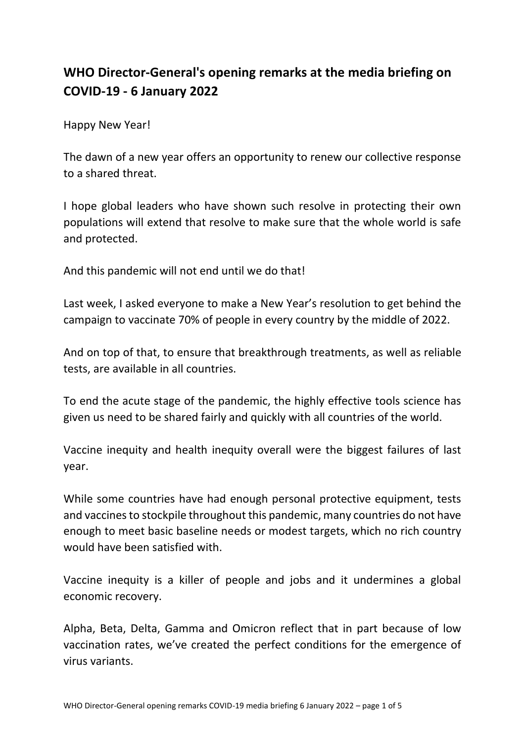## **WHO Director-General's opening remarks at the media briefing on COVID-19 - 6 January 2022**

Happy New Year!

The dawn of a new year offers an opportunity to renew our collective response to a shared threat.

I hope global leaders who have shown such resolve in protecting their own populations will extend that resolve to make sure that the whole world is safe and protected.

And this pandemic will not end until we do that!

Last week, I asked everyone to make a New Year's resolution to get behind the campaign to vaccinate 70% of people in every country by the middle of 2022.

And on top of that, to ensure that breakthrough treatments, as well as reliable tests, are available in all countries.

To end the acute stage of the pandemic, the highly effective tools science has given us need to be shared fairly and quickly with all countries of the world.

Vaccine inequity and health inequity overall were the biggest failures of last year.

While some countries have had enough personal protective equipment, tests and vaccines to stockpile throughout this pandemic, many countries do not have enough to meet basic baseline needs or modest targets, which no rich country would have been satisfied with.

Vaccine inequity is a killer of people and jobs and it undermines a global economic recovery.

Alpha, Beta, Delta, Gamma and Omicron reflect that in part because of low vaccination rates, we've created the perfect conditions for the emergence of virus variants.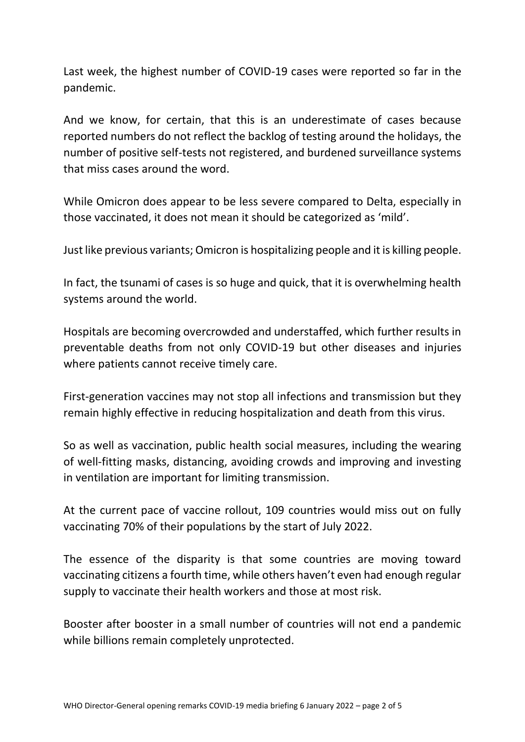Last week, the highest number of COVID-19 cases were reported so far in the pandemic.

And we know, for certain, that this is an underestimate of cases because reported numbers do not reflect the backlog of testing around the holidays, the number of positive self-tests not registered, and burdened surveillance systems that miss cases around the word.

While Omicron does appear to be less severe compared to Delta, especially in those vaccinated, it does not mean it should be categorized as 'mild'.

Just like previous variants; Omicron is hospitalizing people and it is killing people.

In fact, the tsunami of cases is so huge and quick, that it is overwhelming health systems around the world.

Hospitals are becoming overcrowded and understaffed, which further results in preventable deaths from not only COVID-19 but other diseases and injuries where patients cannot receive timely care.

First-generation vaccines may not stop all infections and transmission but they remain highly effective in reducing hospitalization and death from this virus.

So as well as vaccination, public health social measures, including the wearing of well-fitting masks, distancing, avoiding crowds and improving and investing in ventilation are important for limiting transmission.

At the current pace of vaccine rollout, 109 countries would miss out on fully vaccinating 70% of their populations by the start of July 2022.

The essence of the disparity is that some countries are moving toward vaccinating citizens a fourth time, while others haven't even had enough regular supply to vaccinate their health workers and those at most risk.

Booster after booster in a small number of countries will not end a pandemic while billions remain completely unprotected.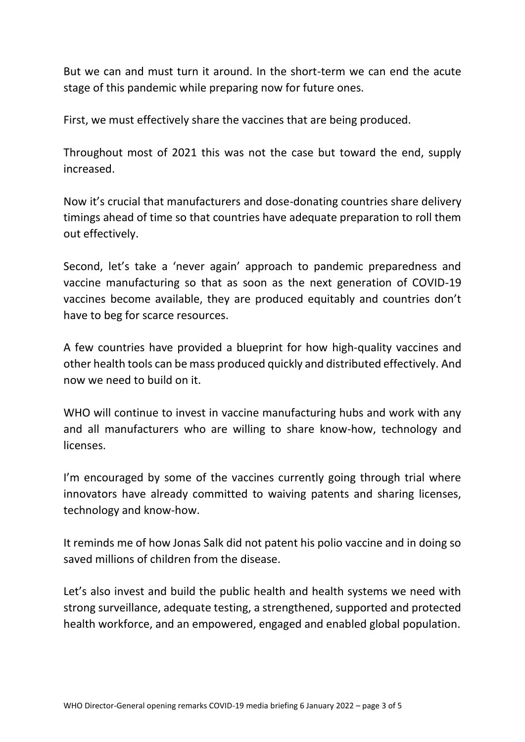But we can and must turn it around. In the short-term we can end the acute stage of this pandemic while preparing now for future ones.

First, we must effectively share the vaccines that are being produced.

Throughout most of 2021 this was not the case but toward the end, supply increased.

Now it's crucial that manufacturers and dose-donating countries share delivery timings ahead of time so that countries have adequate preparation to roll them out effectively.

Second, let's take a 'never again' approach to pandemic preparedness and vaccine manufacturing so that as soon as the next generation of COVID-19 vaccines become available, they are produced equitably and countries don't have to beg for scarce resources.

A few countries have provided a blueprint for how high-quality vaccines and other health tools can be mass produced quickly and distributed effectively. And now we need to build on it.

WHO will continue to invest in vaccine manufacturing hubs and work with any and all manufacturers who are willing to share know-how, technology and licenses.

I'm encouraged by some of the vaccines currently going through trial where innovators have already committed to waiving patents and sharing licenses, technology and know-how.

It reminds me of how Jonas Salk did not patent his polio vaccine and in doing so saved millions of children from the disease.

Let's also invest and build the public health and health systems we need with strong surveillance, adequate testing, a strengthened, supported and protected health workforce, and an empowered, engaged and enabled global population.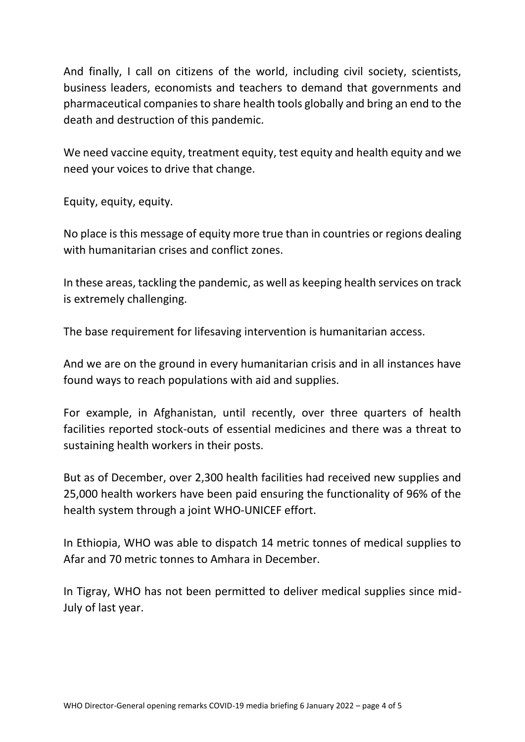And finally, I call on citizens of the world, including civil society, scientists, business leaders, economists and teachers to demand that governments and pharmaceutical companies to share health tools globally and bring an end to the death and destruction of this pandemic.

We need vaccine equity, treatment equity, test equity and health equity and we need your voices to drive that change.

Equity, equity, equity.

No place is this message of equity more true than in countries or regions dealing with humanitarian crises and conflict zones.

In these areas, tackling the pandemic, as well as keeping health services on track is extremely challenging.

The base requirement for lifesaving intervention is humanitarian access.

And we are on the ground in every humanitarian crisis and in all instances have found ways to reach populations with aid and supplies.

For example, in Afghanistan, until recently, over three quarters of health facilities reported stock-outs of essential medicines and there was a threat to sustaining health workers in their posts.

But as of December, over 2,300 health facilities had received new supplies and 25,000 health workers have been paid ensuring the functionality of 96% of the health system through a joint WHO-UNICEF effort.

In Ethiopia, WHO was able to dispatch 14 metric tonnes of medical supplies to Afar and 70 metric tonnes to Amhara in December.

In Tigray, WHO has not been permitted to deliver medical supplies since mid-July of last year.